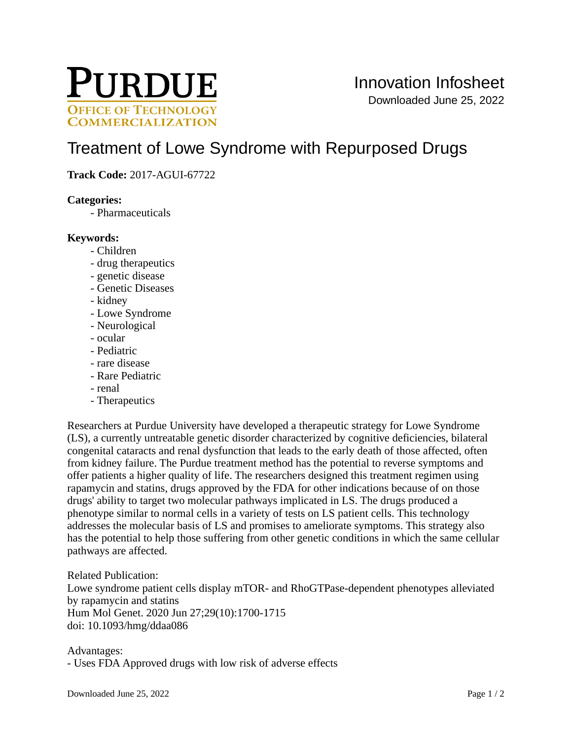

# [Treatment of Lowe Syndrome with Repurposed Drugs](https://inventions.prf.org/innovation/6275)

## **Track Code:** 2017-AGUI-67722

#### **Categories:**

- Pharmaceuticals

#### **Keywords:**

- Children
- drug therapeutics
- genetic disease
- Genetic Diseases
- kidney
- Lowe Syndrome
- Neurological
- ocular
- Pediatric
- rare disease
- Rare Pediatric
- renal
- Therapeutics

Researchers at Purdue University have developed a therapeutic strategy for Lowe Syndrome (LS), a currently untreatable genetic disorder characterized by cognitive deficiencies, bilateral congenital cataracts and renal dysfunction that leads to the early death of those affected, often from kidney failure. The Purdue treatment method has the potential to reverse symptoms and offer patients a higher quality of life. The researchers designed this treatment regimen using rapamycin and statins, drugs approved by the FDA for other indications because of on those drugs' ability to target two molecular pathways implicated in LS. The drugs produced a phenotype similar to normal cells in a variety of tests on LS patient cells. This technology addresses the molecular basis of LS and promises to ameliorate symptoms. This strategy also has the potential to help those suffering from other genetic conditions in which the same cellular pathways are affected.

Related Publication: Lowe syndrome patient cells display mTOR- and RhoGTPase-dependent phenotypes alleviated by rapamycin and statins Hum Mol Genet. 2020 Jun 27;29(10):1700-1715 doi: 10.1093/hmg/ddaa086

Advantages:

- Uses FDA Approved drugs with low risk of adverse effects